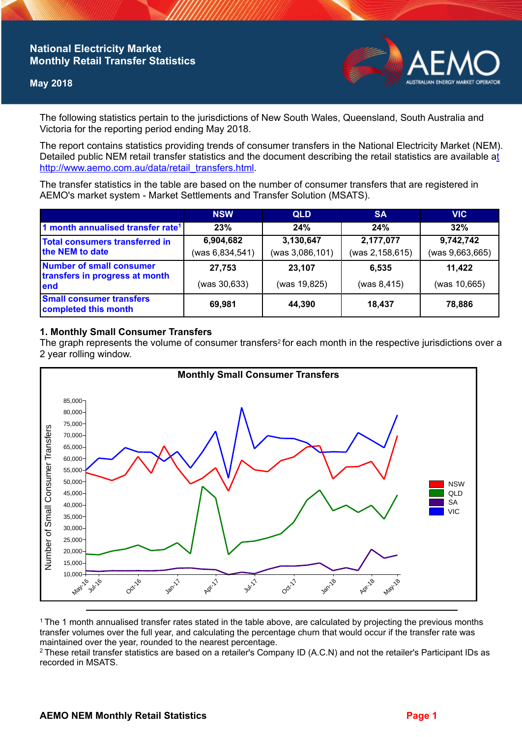# **National Electricity Market Monthly Retail Transfer Statistics**

## **May 2018**



The following statistics pertain to the jurisdictions of New South Wales, Queensland, South Australia and Victoria for the reporting period ending May 2018.

The report contains statistics providing trends of consumer transfers in the National Electricity Market (NEM). Detailed public NEM retail transfer statistics and the document describing the retail statistics are available a[t](http://www.aemo.com.au/data/retail_transfers.html)  http://www.aemo.com.au/data/retail\_transfers.html

The transfer statistics in the table are based on the number of consumer transfers that are registered in AEMO's market system - Market Settlements and Transfer Solution (MSATS).

|                                                                    | <b>NSW</b>                     | <b>QLD</b>                   | <b>SA</b>                    | <b>VIC</b>                   |
|--------------------------------------------------------------------|--------------------------------|------------------------------|------------------------------|------------------------------|
| 1 month annualised transfer rate <sup>1</sup>                      | 23%                            | 24%                          | 24%                          | 32%                          |
| <b>Total consumers transferred in</b><br>the NEM to date           | 6,904,682<br>(was 6, 834, 541) | 3,130,647<br>(was 3,086,101) | 2,177,077<br>(was 2,158,615) | 9,742,742<br>(was 9,663,665) |
| Number of small consumer<br>transfers in progress at month<br>lend | 27,753<br>(was 30,633)         | 23,107<br>(was 19,825)       | 6.535<br>(was 8, 415)        | 11,422<br>(was 10,665)       |
| <b>Small consumer transfers</b><br>completed this month            | 69,981                         | 44,390                       | 18.437                       | 78,886                       |

## **1. Monthly Small Consumer Transfers**

The graph represents the volume of consumer transfers<sup>2</sup> for each month in the respective jurisdictions over a 2 year rolling window.



<sup>1</sup>The 1 month annualised transfer rates stated in the table above, are calculated by projecting the previous months transfer volumes over the full year, and calculating the percentage churn that would occur if the transfer rate was maintained over the year, rounded to the nearest percentage.

<sup>2</sup> These retail transfer statistics are based on a retailer's Company ID (A.C.N) and not the retailer's Participant IDs as recorded in MSATS.